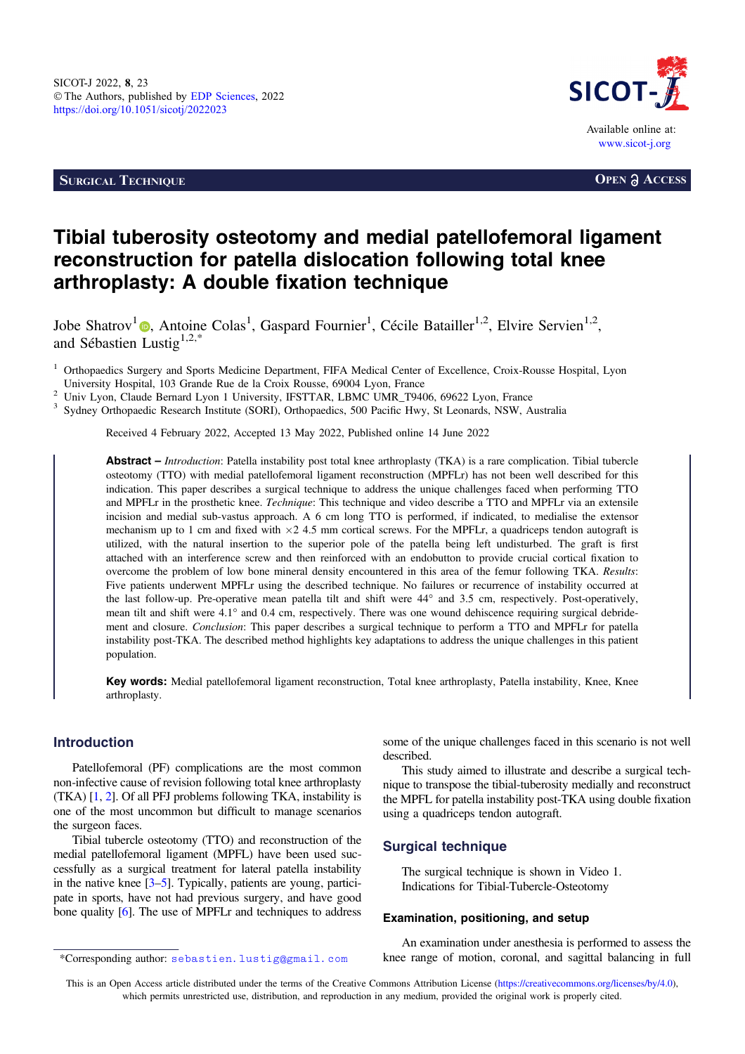**SURGICAL TECHNIQUE OPEN a ACCESS** 



# Tibial tuberosity osteotomy and medial patellofemoral ligament reconstruction for patella dislocation following total knee arthroplasty: A double fixation technique

Jobe Shatrov<sup>1</sup><sup>®</sup>[,](https://orcid.org/0000-0003-3073-2416) Antoine Colas<sup>1</sup>, Gaspard Fournier<sup>1</sup>, Cécile Batailler<sup>1,2</sup>, Elvire Servien<sup>1,2</sup>, and Sébastien Lustig<sup>1,2,\*</sup>

<sup>2</sup> Univ Lyon, Claude Bernard Lyon 1 University, IFSTTAR, LBMC UMR\_T9406, 69622 Lyon, France  $\frac{3}{10}$  Sydney Orthopaedic Research Institute (SORI), Orthopaedics, 500 Pacific Hwy, St Leonards, NSW, Australia

Received 4 February 2022, Accepted 13 May 2022, Published online 14 June 2022

Abstract – Introduction: Patella instability post total knee arthroplasty (TKA) is a rare complication. Tibial tubercle osteotomy (TTO) with medial patellofemoral ligament reconstruction (MPFLr) has not been well described for this indication. This paper describes a surgical technique to address the unique challenges faced when performing TTO and MPFLr in the prosthetic knee. *Technique*: This technique and video describe a TTO and MPFLr via an extensile incision and medial sub-vastus approach. A 6 cm long TTO is performed, if indicated, to medialise the extensor mechanism up to 1 cm and fixed with  $\times$  2 4.5 mm cortical screws. For the MPFLr, a quadriceps tendon autograft is utilized, with the natural insertion to the superior pole of the patella being left undisturbed. The graft is first attached with an interference screw and then reinforced with an endobutton to provide crucial cortical fixation to overcome the problem of low bone mineral density encountered in this area of the femur following TKA. Results: Five patients underwent MPFLr using the described technique. No failures or recurrence of instability occurred at the last follow-up. Pre-operative mean patella tilt and shift were 44° and 3.5 cm, respectively. Post-operatively, mean tilt and shift were  $4.1^{\circ}$  and 0.4 cm, respectively. There was one wound dehiscence requiring surgical debridement and closure. Conclusion: This paper describes a surgical technique to perform a TTO and MPFLr for patella instability post-TKA. The described method highlights key adaptations to address the unique challenges in this patient population.

Key words: Medial patellofemoral ligament reconstruction, Total knee arthroplasty, Patella instability, Knee, Knee arthroplasty.

## Introduction

Patellofemoral (PF) complications are the most common non-infective cause of revision following total knee arthroplasty (TKA) [\[1](#page-7-0), [2\]](#page-8-0). Of all PFJ problems following TKA, instability is one of the most uncommon but difficult to manage scenarios the surgeon faces.

Tibial tubercle osteotomy (TTO) and reconstruction of the medial patellofemoral ligament (MPFL) have been used successfully as a surgical treatment for lateral patella instability in the native knee [\[3](#page-8-0)–[5\]](#page-8-0). Typically, patients are young, participate in sports, have not had previous surgery, and have good bone quality [\[6\]](#page-8-0). The use of MPFLr and techniques to address some of the unique challenges faced in this scenario is not well described.

This study aimed to illustrate and describe a surgical technique to transpose the tibial-tuberosity medially and reconstruct the MPFL for patella instability post-TKA using double fixation using a quadriceps tendon autograft.

#### Surgical technique

The surgical technique is shown in Video 1. Indications for Tibial-Tubercle-Osteotomy

#### Examination, positioning, and setup

An examination under anesthesia is performed to assess the \*Corresponding author: sebastien.lustig@gmail.com knee range of motion, coronal, and sagittal balancing in full

Orthopaedics Surgery and Sports Medicine Department, FIFA Medical Center of Excellence, Croix-Rousse Hospital, Lyon<br>University Hospital, 103 Grande Rue de la Croix Rousse, 69004 Lyon, France

This is an Open Access article distributed under the terms of the Creative Commons Attribution License [\(https://creativecommons.org/licenses/by/4.0](https://creativecommons.org/licenses/by/4.0/)), which permits unrestricted use, distribution, and reproduction in any medium, provided the original work is properly cited.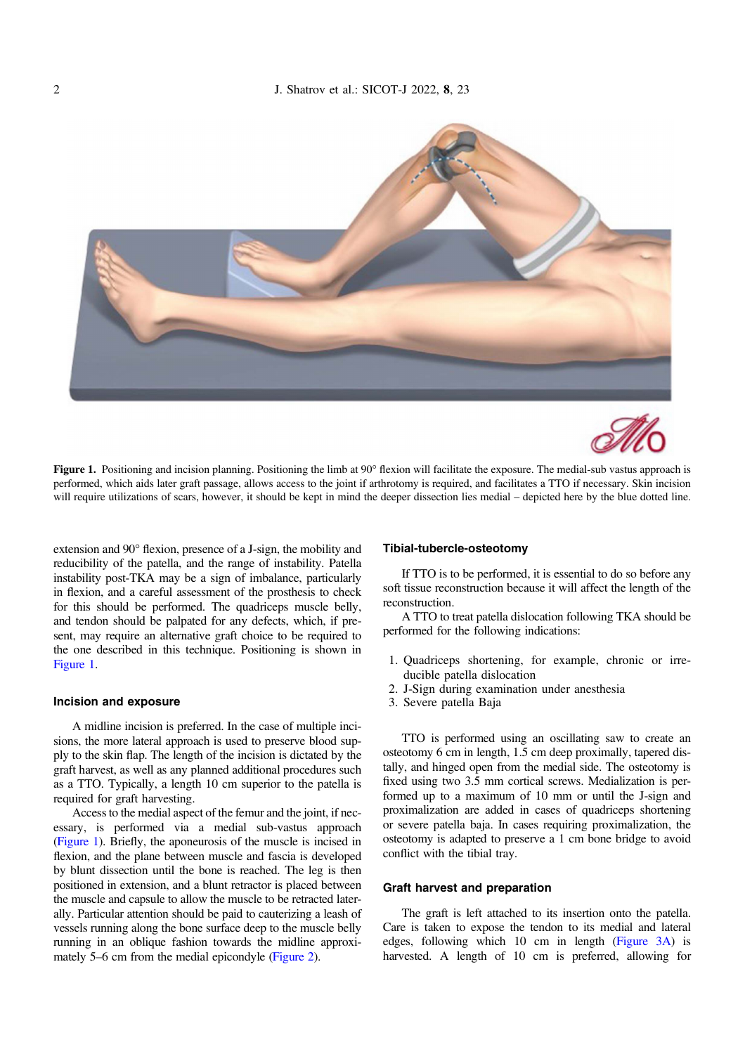<span id="page-1-0"></span>



Figure 1. Positioning and incision planning. Positioning the limb at  $90^{\circ}$  flexion will facilitate the exposure. The medial-sub vastus approach is performed, which aids later graft passage, allows access to the joint if arthrotomy is required, and facilitates a TTO if necessary. Skin incision will require utilizations of scars, however, it should be kept in mind the deeper dissection lies medial – depicted here by the blue dotted line.

extension and 90° flexion, presence of a J-sign, the mobility and reducibility of the patella, and the range of instability. Patella instability post-TKA may be a sign of imbalance, particularly in flexion, and a careful assessment of the prosthesis to check for this should be performed. The quadriceps muscle belly, and tendon should be palpated for any defects, which, if present, may require an alternative graft choice to be required to the one described in this technique. Positioning is shown in Figure 1.

#### Incision and exposure

A midline incision is preferred. In the case of multiple incisions, the more lateral approach is used to preserve blood supply to the skin flap. The length of the incision is dictated by the graft harvest, as well as any planned additional procedures such as a TTO. Typically, a length 10 cm superior to the patella is required for graft harvesting.

Access to the medial aspect of the femur and the joint, if necessary, is performed via a medial sub-vastus approach (Figure 1). Briefly, the aponeurosis of the muscle is incised in flexion, and the plane between muscle and fascia is developed by blunt dissection until the bone is reached. The leg is then positioned in extension, and a blunt retractor is placed between the muscle and capsule to allow the muscle to be retracted laterally. Particular attention should be paid to cauterizing a leash of vessels running along the bone surface deep to the muscle belly running in an oblique fashion towards the midline approximately 5–6 cm from the medial epicondyle [\(Figure 2\)](#page-2-0).

#### Tibial-tubercle-osteotomy

If TTO is to be performed, it is essential to do so before any soft tissue reconstruction because it will affect the length of the reconstruction.

A TTO to treat patella dislocation following TKA should be performed for the following indications:

- 1. Quadriceps shortening, for example, chronic or irreducible patella dislocation
- 2. J-Sign during examination under anesthesia
- 3. Severe patella Baja

TTO is performed using an oscillating saw to create an osteotomy 6 cm in length, 1.5 cm deep proximally, tapered distally, and hinged open from the medial side. The osteotomy is fixed using two 3.5 mm cortical screws. Medialization is performed up to a maximum of 10 mm or until the J-sign and proximalization are added in cases of quadriceps shortening or severe patella baja. In cases requiring proximalization, the osteotomy is adapted to preserve a 1 cm bone bridge to avoid conflict with the tibial tray.

#### Graft harvest and preparation

The graft is left attached to its insertion onto the patella. Care is taken to expose the tendon to its medial and lateral edges, following which 10 cm in length ([Figure 3A\)](#page-2-0) is harvested. A length of 10 cm is preferred, allowing for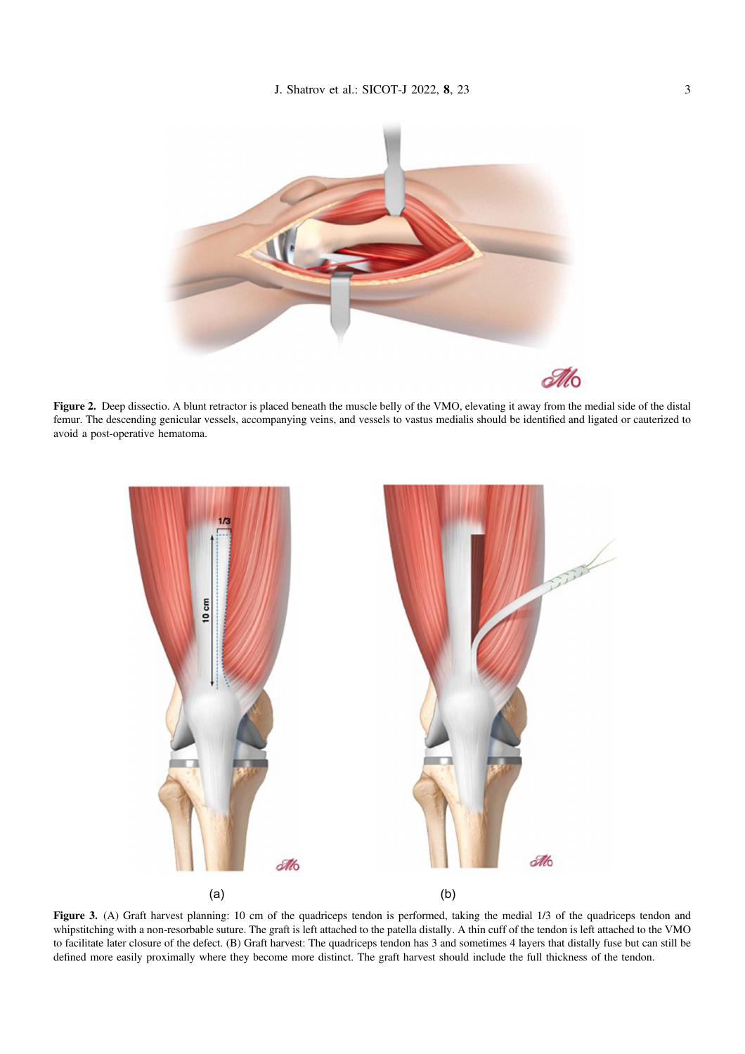<span id="page-2-0"></span>

Figure 2. Deep dissectio. A blunt retractor is placed beneath the muscle belly of the VMO, elevating it away from the medial side of the distal femur. The descending genicular vessels, accompanying veins, and vessels to vastus medialis should be identified and ligated or cauterized to avoid a post-operative hematoma.



Figure 3. (A) Graft harvest planning: 10 cm of the quadriceps tendon is performed, taking the medial 1/3 of the quadriceps tendon and whipstitching with a non-resorbable suture. The graft is left attached to the patella distally. A thin cuff of the tendon is left attached to the VMO to facilitate later closure of the defect. (B) Graft harvest: The quadriceps tendon has 3 and sometimes 4 layers that distally fuse but can still be defined more easily proximally where they become more distinct. The graft harvest should include the full thickness of the tendon.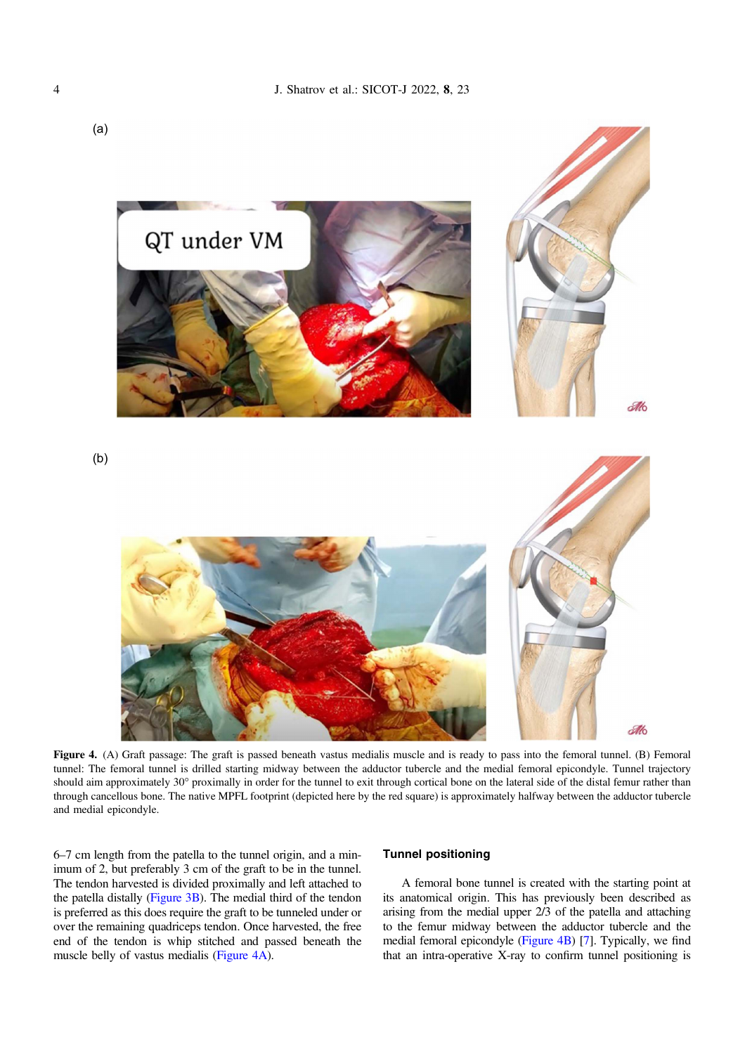<span id="page-3-0"></span>

Figure 4. (A) Graft passage: The graft is passed beneath vastus medialis muscle and is ready to pass into the femoral tunnel. (B) Femoral tunnel: The femoral tunnel is drilled starting midway between the adductor tubercle and the medial femoral epicondyle. Tunnel trajectory should aim approximately 30° proximally in order for the tunnel to exit through cortical bone on the lateral side of the distal femur rather than through cancellous bone. The native MPFL footprint (depicted here by the red square) is approximately halfway between the adductor tubercle and medial epicondyle.

6–7 cm length from the patella to the tunnel origin, and a minimum of 2, but preferably 3 cm of the graft to be in the tunnel. The tendon harvested is divided proximally and left attached to the patella distally ([Figure 3B\)](#page-2-0). The medial third of the tendon is preferred as this does require the graft to be tunneled under or over the remaining quadriceps tendon. Once harvested, the free end of the tendon is whip stitched and passed beneath the muscle belly of vastus medialis (Figure 4A).

### Tunnel positioning

A femoral bone tunnel is created with the starting point at its anatomical origin. This has previously been described as arising from the medial upper 2/3 of the patella and attaching to the femur midway between the adductor tubercle and the medial femoral epicondyle (Figure 4B) [\[7](#page-8-0)]. Typically, we find that an intra-operative X-ray to confirm tunnel positioning is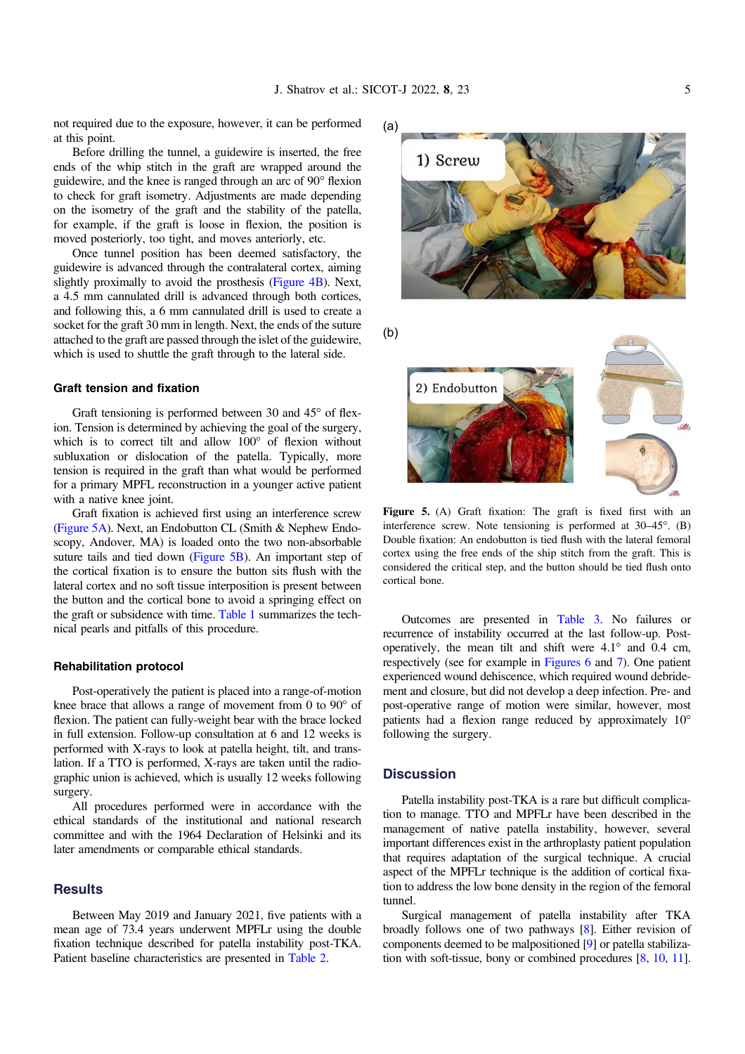not required due to the exposure, however, it can be performed at this point.

Before drilling the tunnel, a guidewire is inserted, the free ends of the whip stitch in the graft are wrapped around the guidewire, and the knee is ranged through an arc of  $90^\circ$  flexion to check for graft isometry. Adjustments are made depending on the isometry of the graft and the stability of the patella, for example, if the graft is loose in flexion, the position is moved posteriorly, too tight, and moves anteriorly, etc.

Once tunnel position has been deemed satisfactory, the guidewire is advanced through the contralateral cortex, aiming slightly proximally to avoid the prosthesis [\(Figure 4B](#page-3-0)). Next, a 4.5 mm cannulated drill is advanced through both cortices, and following this, a 6 mm cannulated drill is used to create a socket for the graft 30 mm in length. Next, the ends of the suture attached to the graft are passed through the islet of the guidewire, which is used to shuttle the graft through to the lateral side.

#### Graft tension and fixation

Graft tensioning is performed between 30 and  $45^{\circ}$  of flexion. Tension is determined by achieving the goal of the surgery, which is to correct tilt and allow  $100^{\circ}$  of flexion without subluxation or dislocation of the patella. Typically, more tension is required in the graft than what would be performed for a primary MPFL reconstruction in a younger active patient with a native knee joint.

Graft fixation is achieved first using an interference screw (Figure 5A). Next, an Endobutton CL (Smith & Nephew Endoscopy, Andover, MA) is loaded onto the two non-absorbable suture tails and tied down (Figure 5B). An important step of the cortical fixation is to ensure the button sits flush with the lateral cortex and no soft tissue interposition is present between the button and the cortical bone to avoid a springing effect on the graft or subsidence with time. [Table 1](#page-5-0) summarizes the technical pearls and pitfalls of this procedure.

#### Rehabilitation protocol

Post-operatively the patient is placed into a range-of-motion knee brace that allows a range of movement from 0 to  $90^{\circ}$  of flexion. The patient can fully-weight bear with the brace locked in full extension. Follow-up consultation at 6 and 12 weeks is performed with X-rays to look at patella height, tilt, and translation. If a TTO is performed, X-rays are taken until the radiographic union is achieved, which is usually 12 weeks following surgery.

All procedures performed were in accordance with the ethical standards of the institutional and national research committee and with the 1964 Declaration of Helsinki and its later amendments or comparable ethical standards.

#### **Results**

Between May 2019 and January 2021, five patients with a mean age of 73.4 years underwent MPFLr using the double fixation technique described for patella instability post-TKA. Patient baseline characteristics are presented in [Table 2](#page-5-0).



Figure 5. (A) Graft fixation: The graft is fixed first with an interference screw. Note tensioning is performed at  $30-45^{\circ}$ . (B) Double fixation: An endobutton is tied flush with the lateral femoral cortex using the free ends of the ship stitch from the graft. This is considered the critical step, and the button should be tied flush onto cortical bone.

Outcomes are presented in [Table 3](#page-6-0). No failures or recurrence of instability occurred at the last follow-up. Postoperatively, the mean tilt and shift were  $4.1^\circ$  and  $0.4 \text{ cm}$ , respectively (see for example in [Figures 6](#page-6-0) and [7\)](#page-7-0). One patient experienced wound dehiscence, which required wound debridement and closure, but did not develop a deep infection. Pre- and post-operative range of motion were similar, however, most patients had a flexion range reduced by approximately 10 following the surgery.

## **Discussion**

Patella instability post-TKA is a rare but difficult complication to manage. TTO and MPFLr have been described in the management of native patella instability, however, several important differences exist in the arthroplasty patient population that requires adaptation of the surgical technique. A crucial aspect of the MPFLr technique is the addition of cortical fixation to address the low bone density in the region of the femoral tunnel.

Surgical management of patella instability after TKA broadly follows one of two pathways [[8](#page-8-0)]. Either revision of components deemed to be malpositioned [\[9\]](#page-8-0) or patella stabilization with soft-tissue, bony or combined procedures [\[8](#page-8-0), [10](#page-8-0), [11](#page-8-0)].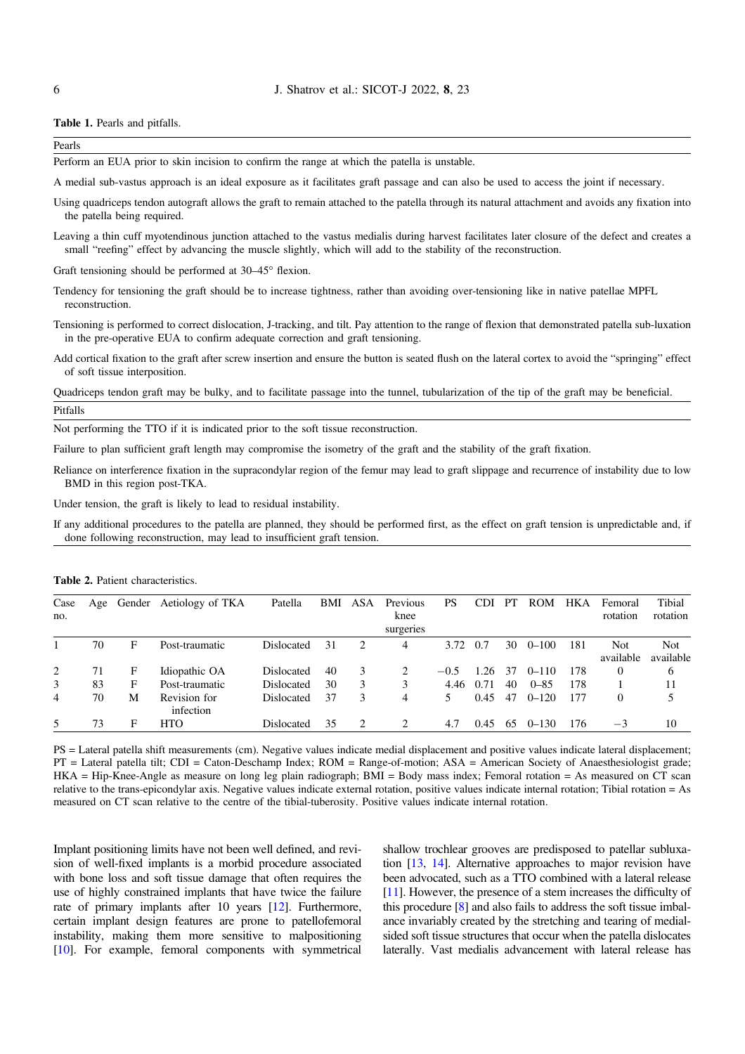#### <span id="page-5-0"></span><sup>6</sup> J. Shatrov et al.: SICOT-J 2022, <sup>8</sup>, 23

Table 1. Pearls and pitfalls.

| Pearls                                                                                       |  |
|----------------------------------------------------------------------------------------------|--|
| Perform an EUA prior to skin incision to confirm the range at which the patella is unstable. |  |

A medial sub-vastus approach is an ideal exposure as it facilitates graft passage and can also be used to access the joint if necessary.

- Using quadriceps tendon autograft allows the graft to remain attached to the patella through its natural attachment and avoids any fixation into the patella being required.
- Leaving a thin cuff myotendinous junction attached to the vastus medialis during harvest facilitates later closure of the defect and creates a small "reefing" effect by advancing the muscle slightly, which will add to the stability of the reconstruction.

Graft tensioning should be performed at  $30-45^\circ$  flexion.

- Tendency for tensioning the graft should be to increase tightness, rather than avoiding over-tensioning like in native patellae MPFL reconstruction.
- Tensioning is performed to correct dislocation, J-tracking, and tilt. Pay attention to the range of flexion that demonstrated patella sub-luxation in the pre-operative EUA to confirm adequate correction and graft tensioning.
- Add cortical fixation to the graft after screw insertion and ensure the button is seated flush on the lateral cortex to avoid the "springing" effect of soft tissue interposition.

Quadriceps tendon graft may be bulky, and to facilitate passage into the tunnel, tubularization of the tip of the graft may be beneficial. Pitfalls

Not performing the TTO if it is indicated prior to the soft tissue reconstruction.

Failure to plan sufficient graft length may compromise the isometry of the graft and the stability of the graft fixation.

Reliance on interference fixation in the supracondylar region of the femur may lead to graft slippage and recurrence of instability due to low BMD in this region post-TKA.

Under tension, the graft is likely to lead to residual instability.

If any additional procedures to the patella are planned, they should be performed first, as the effect on graft tension is unpredictable and, if done following reconstruction, may lead to insufficient graft tension.

| Case<br>no. | Age | Gender | Aetiology of TKA          | Patella           | BMI | <b>ASA</b> | Previous<br>knee<br>surgeries | <b>PS</b> | CDI  | PТ  | <b>ROM</b> | <b>HKA</b> | Femoral<br>rotation | Tibial<br>rotation |
|-------------|-----|--------|---------------------------|-------------------|-----|------------|-------------------------------|-----------|------|-----|------------|------------|---------------------|--------------------|
|             | 70  | F      | Post-traumatic            | <b>Dislocated</b> | 31  | 2          | 4                             | 3.72      | 0.7  | 30  | $0 - 100$  | 181        | Not                 | Not                |
|             |     |        |                           |                   |     |            |                               |           |      |     |            |            | available           | available          |
| 2           | 71  | F      | Idiopathic OA             | Dislocated        | 40  | 3          | 2                             | $-0.5$    | 1.26 | 37  | $0 - 110$  | 178        | $\theta$            | 6                  |
| 3           | 83  | F      | Post-traumatic            | Dislocated        | 30  | 3          | 3                             | 4.46      | 0.71 | 40  | $0 - 85$   | 178        |                     | 11                 |
| 4           | 70  | М      | Revision for<br>infection | Dislocated        | 37  | 3          | 4                             | 5.        | 0.45 | 47  | $0 - 120$  | 177        | 0                   | 5                  |
| 5           | 73  | F      | <b>HTO</b>                | Dislocated        | 35  | 2          | $\mathcal{D}_{\mathcal{L}}$   | 4.7       | 0.45 | -65 | $0 - 130$  | 176        | $-3$                | 10                 |

Table 2. Patient characteristics.

PS = Lateral patella shift measurements (cm). Negative values indicate medial displacement and positive values indicate lateral displacement; PT = Lateral patella tilt; CDI = Caton-Deschamp Index; ROM = Range-of-motion; ASA = American Society of Anaesthesiologist grade; HKA = Hip-Knee-Angle as measure on long leg plain radiograph; BMI = Body mass index; Femoral rotation = As measured on CT scan relative to the trans-epicondylar axis. Negative values indicate external rotation, positive values indicate internal rotation; Tibial rotation = As measured on CT scan relative to the centre of the tibial-tuberosity. Positive values indicate internal rotation.

Implant positioning limits have not been well defined, and revision of well-fixed implants is a morbid procedure associated with bone loss and soft tissue damage that often requires the use of highly constrained implants that have twice the failure rate of primary implants after 10 years [[12](#page-8-0)]. Furthermore, certain implant design features are prone to patellofemoral instability, making them more sensitive to malpositioning [[10](#page-8-0)]. For example, femoral components with symmetrical shallow trochlear grooves are predisposed to patellar subluxation [\[13,](#page-8-0) [14](#page-8-0)]. Alternative approaches to major revision have been advocated, such as a TTO combined with a lateral release [[11](#page-8-0)]. However, the presence of a stem increases the difficulty of this procedure [\[8\]](#page-8-0) and also fails to address the soft tissue imbalance invariably created by the stretching and tearing of medialsided soft tissue structures that occur when the patella dislocates laterally. Vast medialis advancement with lateral release has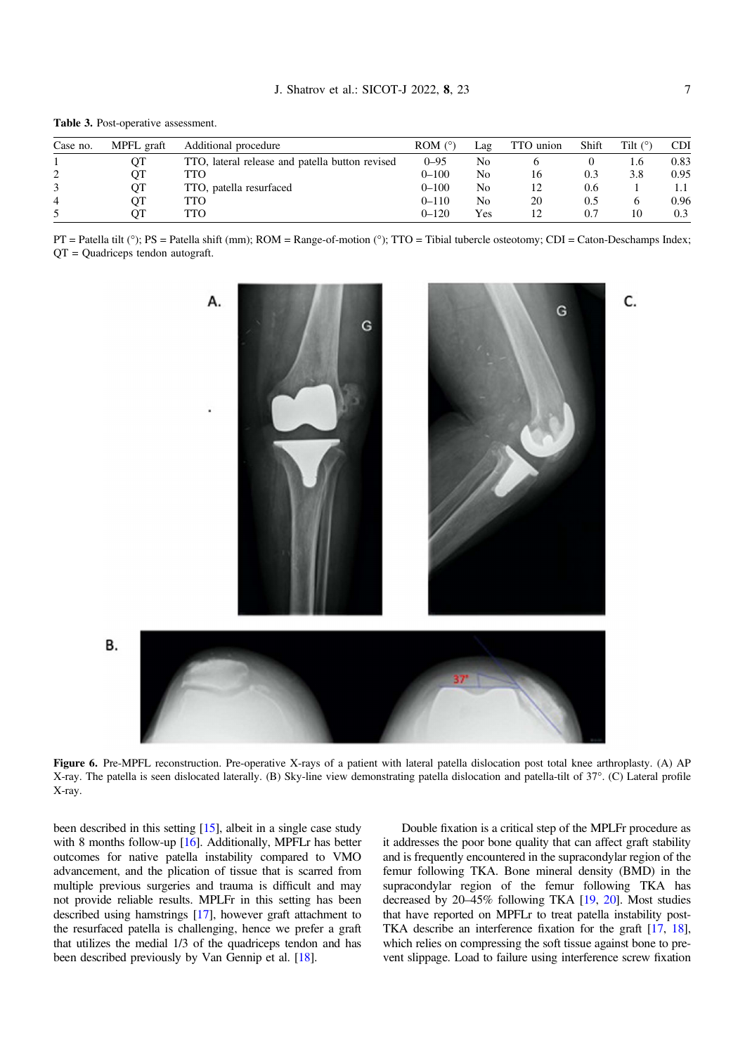<span id="page-6-0"></span>Table 3. Post-operative assessment.

В.

| Case no. | MPFL graft | Additional procedure                            | ROM $(°)$ | Lag | TTO union | Shift | Tilt $(°)$ | <b>CDI</b> |
|----------|------------|-------------------------------------------------|-----------|-----|-----------|-------|------------|------------|
|          | OТ         | TTO, lateral release and patella button revised | $0 - 95$  | No  |           |       | 1.6        | 0.83       |
|          | OТ         | TTO                                             | $0 - 100$ | No  |           | 0.3   | 3.8        | 0.95       |
|          | QT         | TTO, patella resurfaced                         | $0 - 100$ | No  |           | 0.6   |            | 1.1        |
| 4        | OТ         | TTO                                             | $0 - 110$ | No  | 20        | 0.5   |            | 0.96       |
|          | ΟТ         | TTO                                             | $0 - 120$ | Yes |           | 0.7   | 10         | 0.3        |

 $PT$  = Patella tilt (°); PS = Patella shift (mm); ROM = Range-of-motion (°); TTO = Tibial tubercle osteotomy; CDI = Caton-Deschamps Index; QT = Quadriceps tendon autograft.



Figure 6. Pre-MPFL reconstruction. Pre-operative X-rays of a patient with lateral patella dislocation post total knee arthroplasty. (A) AP X-ray. The patella is seen dislocated laterally. (B) Sky-line view demonstrating patella dislocation and patella-tilt of 37°. (C) Lateral profile X-ray.

been described in this setting [[15](#page-8-0)], albeit in a single case study with 8 months follow-up [\[16](#page-8-0)]. Additionally, MPFL<sub>r</sub> has better outcomes for native patella instability compared to VMO advancement, and the plication of tissue that is scarred from multiple previous surgeries and trauma is difficult and may not provide reliable results. MPLFr in this setting has been described using hamstrings [[17](#page-8-0)], however graft attachment to the resurfaced patella is challenging, hence we prefer a graft that utilizes the medial 1/3 of the quadriceps tendon and has been described previously by Van Gennip et al. [\[18](#page-8-0)].

Double fixation is a critical step of the MPLFr procedure as it addresses the poor bone quality that can affect graft stability and is frequently encountered in the supracondylar region of the femur following TKA. Bone mineral density (BMD) in the supracondylar region of the femur following TKA has decreased by 20–45% following TKA [\[19](#page-8-0), [20](#page-8-0)]. Most studies that have reported on MPFLr to treat patella instability post-TKA describe an interference fixation for the graft [\[17,](#page-8-0) [18](#page-8-0)], which relies on compressing the soft tissue against bone to prevent slippage. Load to failure using interference screw fixation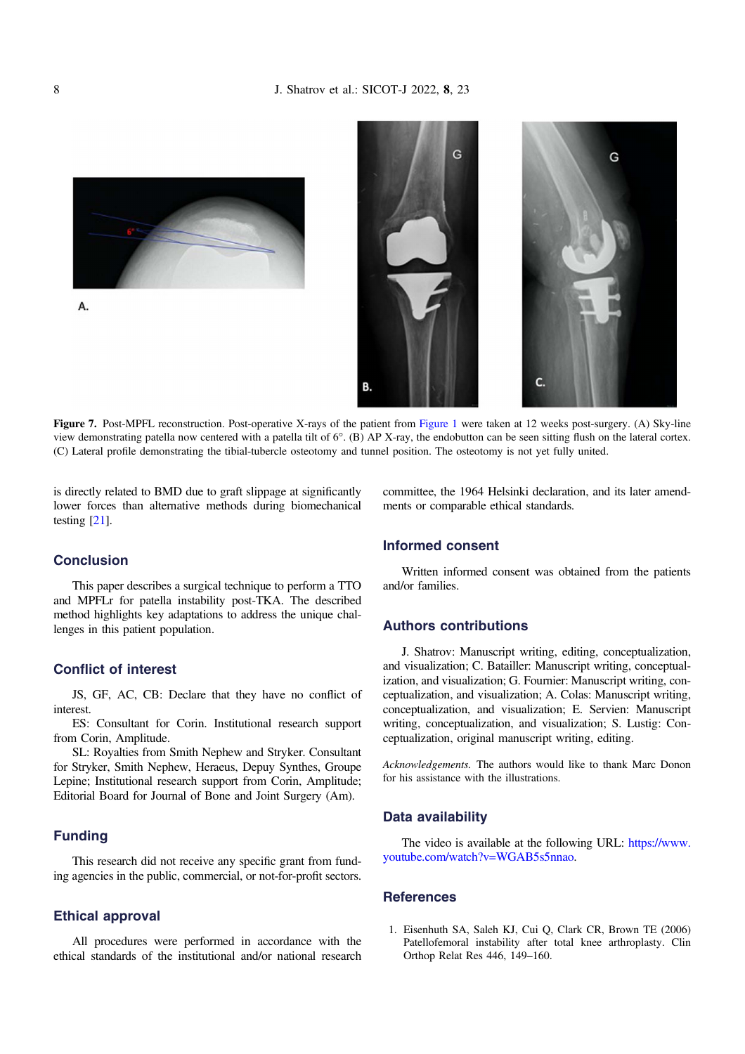<span id="page-7-0"></span>





Ġ

Figure 7. Post-MPFL reconstruction. Post-operative X-rays of the patient from [Figure 1](#page-1-0) were taken at 12 weeks post-surgery. (A) Sky-line view demonstrating patella now centered with a patella tilt of  $6^\circ$ . (B) AP X-ray, the endobutton can be seen sitting flush on the lateral cortex. (C) Lateral profile demonstrating the tibial-tubercle osteotomy and tunnel position. The osteotomy is not yet fully united.

is directly related to BMD due to graft slippage at significantly lower forces than alternative methods during biomechanical testing [\[21\]](#page-8-0).

### **Conclusion**

This paper describes a surgical technique to perform a TTO and MPFLr for patella instability post-TKA. The described method highlights key adaptations to address the unique challenges in this patient population.

# Conflict of interest

JS, GF, AC, CB: Declare that they have no conflict of interest.

ES: Consultant for Corin. Institutional research support from Corin, Amplitude.

SL: Royalties from Smith Nephew and Stryker. Consultant for Stryker, Smith Nephew, Heraeus, Depuy Synthes, Groupe Lepine; Institutional research support from Corin, Amplitude; Editorial Board for Journal of Bone and Joint Surgery (Am).

## Funding

This research did not receive any specific grant from funding agencies in the public, commercial, or not-for-profit sectors.

#### Ethical approval

All procedures were performed in accordance with the ethical standards of the institutional and/or national research committee, the 1964 Helsinki declaration, and its later amendments or comparable ethical standards.

# Informed consent

Written informed consent was obtained from the patients and/or families.

## Authors contributions

J. Shatrov: Manuscript writing, editing, conceptualization, and visualization; C. Batailler: Manuscript writing, conceptualization, and visualization; G. Fournier: Manuscript writing, conceptualization, and visualization; A. Colas: Manuscript writing, conceptualization, and visualization; E. Servien: Manuscript writing, conceptualization, and visualization; S. Lustig: Conceptualization, original manuscript writing, editing.

Acknowledgements. The authors would like to thank Marc Donon for his assistance with the illustrations.

## Data availability

The video is available at the following URL: [https://www.](https://www.youtube.com/watch?v=WGAB5s5nnao) [youtube.com/watch?v=WGAB5s5nnao.](https://www.youtube.com/watch?v=WGAB5s5nnao)

### **References**

1. Eisenhuth SA, Saleh KJ, Cui Q, Clark CR, Brown TE (2006) Patellofemoral instability after total knee arthroplasty. Clin Orthop Relat Res 446, 149–160.